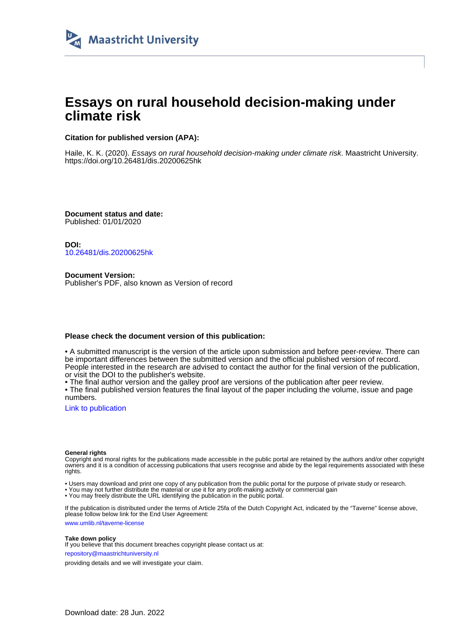

## **Essays on rural household decision-making under climate risk**

#### **Citation for published version (APA):**

Haile, K. K. (2020). Essays on rural household decision-making under climate risk. Maastricht University. <https://doi.org/10.26481/dis.20200625hk>

**Document status and date:** Published: 01/01/2020

**DOI:** [10.26481/dis.20200625hk](https://doi.org/10.26481/dis.20200625hk)

**Document Version:** Publisher's PDF, also known as Version of record

#### **Please check the document version of this publication:**

• A submitted manuscript is the version of the article upon submission and before peer-review. There can be important differences between the submitted version and the official published version of record. People interested in the research are advised to contact the author for the final version of the publication, or visit the DOI to the publisher's website.

• The final author version and the galley proof are versions of the publication after peer review.

• The final published version features the final layout of the paper including the volume, issue and page numbers.

[Link to publication](https://cris.maastrichtuniversity.nl/en/publications/324c9b99-61f6-445e-81a1-6ffb98bbe4d1)

#### **General rights**

Copyright and moral rights for the publications made accessible in the public portal are retained by the authors and/or other copyright owners and it is a condition of accessing publications that users recognise and abide by the legal requirements associated with these rights.

• Users may download and print one copy of any publication from the public portal for the purpose of private study or research.

• You may not further distribute the material or use it for any profit-making activity or commercial gain

• You may freely distribute the URL identifying the publication in the public portal.

If the publication is distributed under the terms of Article 25fa of the Dutch Copyright Act, indicated by the "Taverne" license above, please follow below link for the End User Agreement:

www.umlib.nl/taverne-license

#### **Take down policy**

If you believe that this document breaches copyright please contact us at: repository@maastrichtuniversity.nl

providing details and we will investigate your claim.